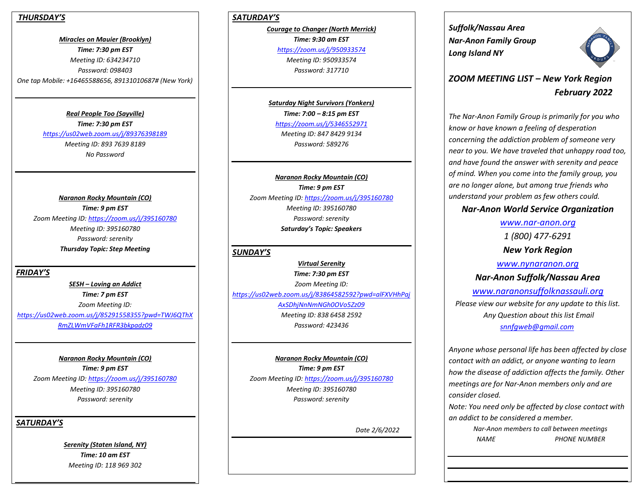#### *THURSDAY'S*

*Miracles on Mauier (Brooklyn) Time: 7:30 pm EST Meeting ID: 634234710 Password: 098403 One tap Mobile: +16465588656, 89131010687# (New York)*

> *Real People Too (Sayville) Time: 7:30 pm EST <https://us02web.zoom.us/j/89376398189> Meeting ID: 893 7639 8189 No Password*

*Naranon Rocky Mountain (CO) Time: 9 pm EST Zoom Meeting ID:<https://zoom.us/j/395160780> Meeting ID: 395160780 Password: serenity Thursday Topic: Step Meeting*

*FRIDAY'S*

*SESH – Loving an Addict Time: 7 pm EST Zoom Meeting ID: [https://us02web.zoom.us/j/85291558355?pwd=TWJ6QThX](https://us02web.zoom.us/j/85291558355?pwd=TWJ6QThXRmZLWmVFaFh1RFR3bkpadz09) [RmZLWmVFaFh1RFR3bkpadz09](https://us02web.zoom.us/j/85291558355?pwd=TWJ6QThXRmZLWmVFaFh1RFR3bkpadz09)*

*Naranon Rocky Mountain (CO) Time: 9 pm EST Zoom Meeting ID:<https://zoom.us/j/395160780> Meeting ID: 395160780 Password: serenity*

*SATURDAY'S*

*Serenity (Staten Island, NY) Time: 10 am EST Meeting ID: 118 969 302*

## *SATURDAY'S*

*Courage to Changer (North Merrick) Time: 9:30 am EST <https://zoom.us/j/950933574> Meeting ID: 950933574 Password: 317710*

*Saturday Night Survivors (Yonkers) Time: 7:00 – 8:15 pm EST <https://zoom.us/j/5346552971> Meeting ID: 847 8429 9134 Password: 589276*

*Naranon Rocky Mountain (CO) Time: 9 pm EST Zoom Meeting ID[: https://zoom.us/j/395160780](https://zoom.us/j/395160780) Meeting ID: 395160780 Password: serenity Saturday's Topic: Speakers*

### *SUNDAY'S*

*Virtual Serenity Time: 7:30 pm EST Zoom Meeting ID: [https://us02web.zoom.us/j/83864582592?pwd=alFXVHhPaj](https://us02web.zoom.us/j/83864582592?pwd=alFXVHhPajAxSDhjNnNmNGh0OVo5Zz09) [AxSDhjNnNmNGh0OVo5Zz09](https://us02web.zoom.us/j/83864582592?pwd=alFXVHhPajAxSDhjNnNmNGh0OVo5Zz09) Meeting ID: 838 6458 2592 Password: 423436*

*Naranon Rocky Mountain (CO) Time: 9 pm EST Zoom Meeting ID[: https://zoom.us/j/395160780](https://zoom.us/j/395160780) Meeting ID: 395160780 Password: serenity*

 *Date 2/6/2022* 

*Suffolk/Nassau Area Nar-Anon Family Group Long Island NY* 



# *ZOOM MEETING LIST – New York Region February 2022*

*The Nar-Anon Family Group is primarily for you who know or have known a feeling of desperation concerning the addiction problem of someone very near to you. We have traveled that unhappy road too, and have found the answer with serenity and peace of mind. When you come into the family group, you are no longer alone, but among true friends who understand your problem as few others could.* 

## *Nar-Anon World Service Organization*

*[www.nar-anon.org](http://www.nar-anon.org/) 1 (800) 477-6291 New York Region*

*[www.nynaranon.org](http://www.nynaranon.org/) Nar-Anon Suffolk/Nassau Area [www.naranonsuffolknassauli.org](http://www.naranonsuffolkli.org/) Please view our website for any update to this list. Any Question about this list Email [snnfgweb@gmail.com](mailto:snnfgweb@gmail.com)*

*Anyone whose personal life has been affected by close contact with an addict, or anyone wanting to learn how the disease of addiction affects the family. Other meetings are for Nar-Anon members only and are consider closed.*

*Note: You need only be affected by close contact with an addict to be considered a member.*

> *Nar-Anon members to call between meetings NAME PHONE NUMBER*